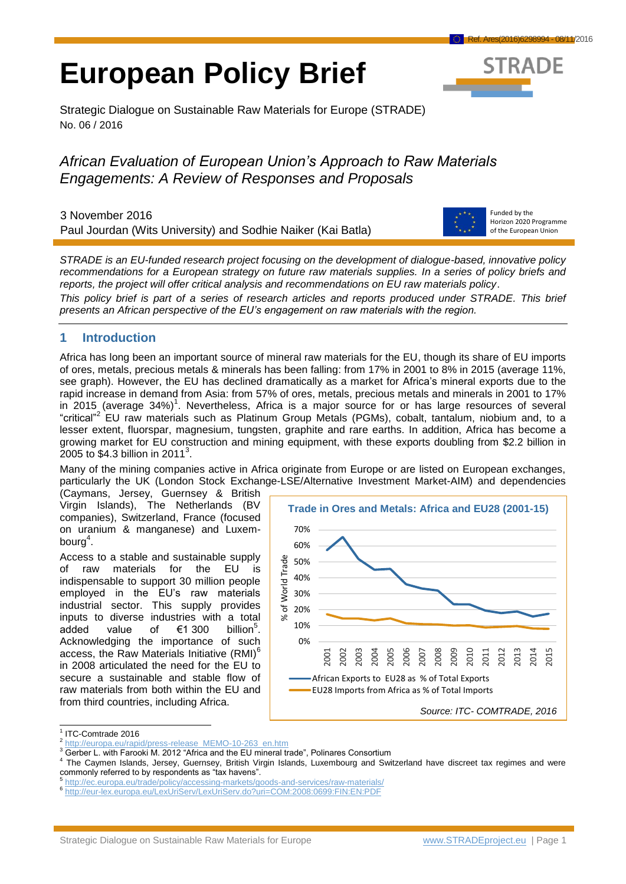# **European Policy Brief**



Strategic Dialogue on Sustainable Raw Materials for Europe (STRADE) No. 06 / 2016

## *African Evaluation of European Union's Approach to Raw Materials Engagements: A Review of Responses and Proposals*

3 November 2016 Paul Jourdan (Wits University) and Sodhie Naiker (Kai Batla)



Funded by the Horizon 2020 Programme of the European Union

*STRADE is an EU-funded research project focusing on the development of dialogue-based, innovative policy recommendations for a European strategy on future raw materials supplies. In a series of policy briefs and reports, the project will offer critical analysis and recommendations on EU raw materials policy*.

*This policy brief is part of a series of research articles and reports produced under STRADE. This brief presents an African perspective of the EU's engagement on raw materials with the region.* 

## **1 Introduction**

Africa has long been an important source of mineral raw materials for the EU, though its share of EU imports of ores, metals, precious metals & minerals has been falling: from 17% in 2001 to 8% in 2015 (average 11%, see graph). However, the EU has declined dramatically as a market for Africa's mineral exports due to the rapid increase in demand from Asia: from 57% of ores, metals, precious metals and minerals in 2001 to 17% in 2015 (average  $34\%)$ <sup>1</sup>. Nevertheless, Africa is a major source for or has large resources of several "critical"<sup>2</sup> EU raw materials such as Platinum Group Metals (PGMs), cobalt, tantalum, niobium and, to a lesser extent, fluorspar, magnesium, tungsten, graphite and rare earths. In addition, Africa has become a growing market for EU construction and mining equipment, with these exports doubling from \$2.2 billion in  $2005$  to \$4.3 billion in 2011<sup>3</sup>.

Many of the mining companies active in Africa originate from Europe or are listed on European exchanges, particularly the UK (London Stock Exchange-LSE/Alternative Investment Market-AIM) and dependencies

(Caymans, Jersey, Guernsey & British Virgin Islands), The Netherlands (BV companies), Switzerland, France (focused on uranium & manganese) and Luxembourg $4$ .

Access to a stable and sustainable supply of raw materials for the EU is indispensable to support 30 million people employed in the EU's raw materials industrial sector. This supply provides inputs to diverse industries with a total added value of  $\epsilon$ 1 300 billion<sup>5</sup>. Acknowledging the importance of such access, the Raw Materials Initiative (RMI)<sup>6</sup> in 2008 articulated the need for the EU to secure a sustainable and stable flow of raw materials from both within the EU and from third countries, including Africa.



 $\overline{a}$ 1 ITC-Comtrade 2016

<sup>2</sup> [http://europa.eu/rapid/press-release\\_MEMO-10-263\\_en.htm](http://europa.eu/rapid/press-release_MEMO-10-263_en.htm)

**<sup>3</sup> Gerber L. with Farooki M. 2012 "Africa and the EU mineral trade", Polinares Consortium** 

<sup>4</sup> The Caymen Islands, Jersey, Guernsey, British Virgin Islands, Luxembourg and Switzerland have discreet tax regimes and were commonly referred to by respondents as "tax havens".<br>
<sup>5</sup> http://ac.aurenc.au/trade/peliox/accessing marketa/a

<http://ec.europa.eu/trade/policy/accessing-markets/goods-and-services/raw-materials/>

<sup>6</sup> <http://eur-lex.europa.eu/LexUriServ/LexUriServ.do?uri=COM:2008:0699:FIN:EN:PDF>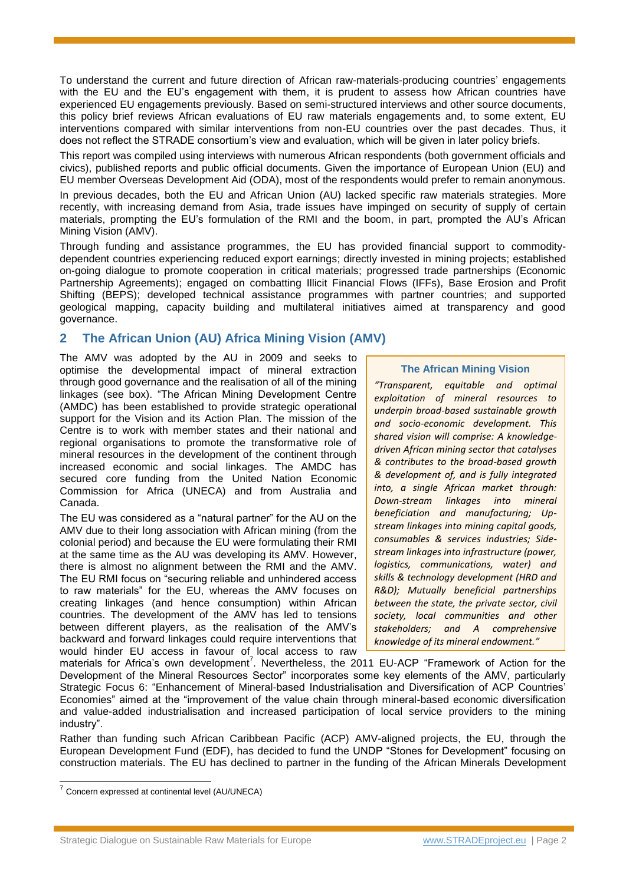To understand the current and future direction of African raw-materials-producing countries' engagements with the EU and the EU's engagement with them, it is prudent to assess how African countries have experienced EU engagements previously. Based on semi-structured interviews and other source documents, this policy brief reviews African evaluations of EU raw materials engagements and, to some extent, EU interventions compared with similar interventions from non-EU countries over the past decades. Thus, it does not reflect the STRADE consortium's view and evaluation, which will be given in later policy briefs.

This report was compiled using interviews with numerous African respondents (both government officials and civics), published reports and public official documents. Given the importance of European Union (EU) and EU member Overseas Development Aid (ODA), most of the respondents would prefer to remain anonymous.

In previous decades, both the EU and African Union (AU) lacked specific raw materials strategies. More recently, with increasing demand from Asia, trade issues have impinged on security of supply of certain materials, prompting the EU's formulation of the RMI and the boom, in part, prompted the AU's African Mining Vision (AMV).

Through funding and assistance programmes, the EU has provided financial support to commoditydependent countries experiencing reduced export earnings; directly invested in mining projects; established on-going dialogue to promote cooperation in critical materials; progressed trade partnerships (Economic Partnership Agreements); engaged on combatting Illicit Financial Flows (IFFs), Base Erosion and Profit Shifting (BEPS); developed technical assistance programmes with partner countries; and supported geological mapping, capacity building and multilateral initiatives aimed at transparency and good governance.

## **2 The African Union (AU) Africa Mining Vision (AMV)**

The AMV was adopted by the AU in 2009 and seeks to optimise the developmental impact of mineral extraction through good governance and the realisation of all of the mining linkages (see box). "The African Mining Development Centre (AMDC) has been established to provide strategic operational support for the Vision and its Action Plan. The mission of the Centre is to work with member states and their national and regional organisations to promote the transformative role of mineral resources in the development of the continent through increased economic and social linkages. The AMDC has secured core funding from the United Nation Economic Commission for Africa (UNECA) and from Australia and Canada.

The EU was considered as a "natural partner" for the AU on the AMV due to their long association with African mining (from the colonial period) and because the EU were formulating their RMI at the same time as the AU was developing its AMV. However, there is almost no alignment between the RMI and the AMV. The EU RMI focus on "securing reliable and unhindered access to raw materials" for the EU, whereas the AMV focuses on creating linkages (and hence consumption) within African countries. The development of the AMV has led to tensions between different players, as the realisation of the AMV's backward and forward linkages could require interventions that would hinder EU access in favour of local access to raw

#### **The African Mining Vision**

*"Transparent, equitable and optimal exploitation of mineral resources to underpin broad-based sustainable growth and socio-economic development. This shared vision will comprise: A knowledgedriven African mining sector that catalyses & contributes to the broad-based growth & development of, and is fully integrated into, a single African market through: Down-stream linkages into mineral beneficiation and manufacturing; Upstream linkages into mining capital goods, consumables & services industries; Sidestream linkages into infrastructure (power, logistics, communications, water) and skills & technology development (HRD and R&D); Mutually beneficial partnerships between the state, the private sector, civil society, local communities and other stakeholders; and A comprehensive knowledge of its mineral endowment."* 

materials for Africa's own development<sup>7</sup>. Nevertheless, the 2011 EU-ACP "Framework of Action for the Development of the Mineral Resources Sector" incorporates some key elements of the AMV, particularly Strategic Focus 6: "Enhancement of Mineral-based Industrialisation and Diversification of ACP Countries' Economies" aimed at the "improvement of the value chain through mineral-based economic diversification and value-added industrialisation and increased participation of local service providers to the mining industry".

Rather than funding such African Caribbean Pacific (ACP) AMV-aligned projects, the EU, through the European Development Fund (EDF), has decided to fund the UNDP "Stones for Development" focusing on construction materials. The EU has declined to partner in the funding of the African Minerals Development

 7 Concern expressed at continental level (AU/UNECA)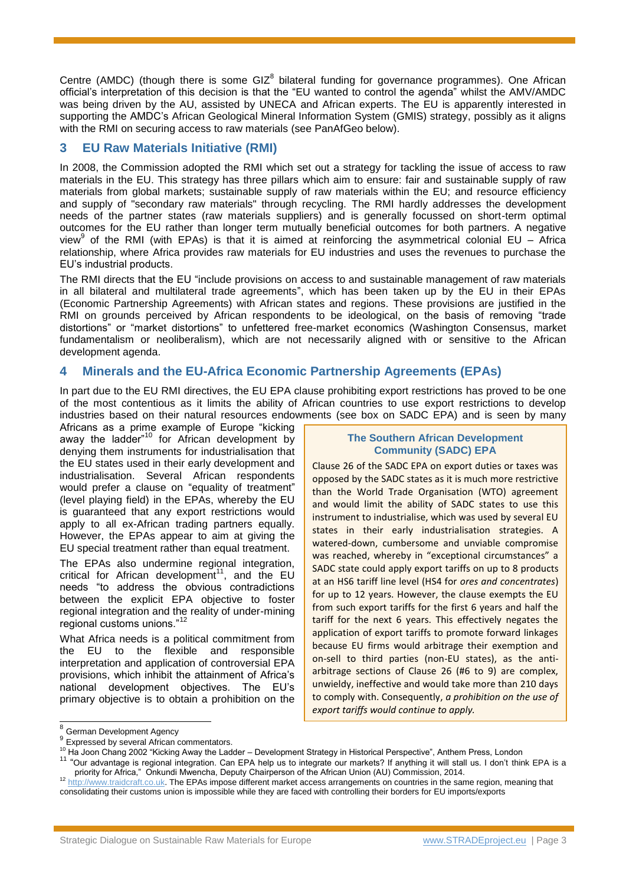Centre (AMDC) (though there is some GIZ $^8$  bilateral funding for governance programmes). One African official's interpretation of this decision is that the "EU wanted to control the agenda" whilst the AMV/AMDC was being driven by the AU, assisted by UNECA and African experts. The EU is apparently interested in supporting the AMDC's African Geological Mineral Information System (GMIS) strategy, possibly as it aligns with the RMI on securing access to raw materials (see PanAfGeo below).

## **3 EU Raw Materials Initiative (RMI)**

In 2008, the Commission adopted the RMI which set out a strategy for tackling the issue of access to raw materials in the EU. This strategy has three pillars which aim to ensure: fair and sustainable supply of raw materials from global markets; sustainable supply of raw materials within the EU; and resource efficiency and supply of "secondary raw materials" through recycling. The RMI hardly addresses the development needs of the partner states (raw materials suppliers) and is generally focussed on short-term optimal outcomes for the EU rather than longer term mutually beneficial outcomes for both partners. A negative view<sup>9</sup> of the RMI (with EPAs) is that it is aimed at reinforcing the asymmetrical colonial EU – Africa relationship, where Africa provides raw materials for EU industries and uses the revenues to purchase the EU's industrial products.

The RMI directs that the EU "include provisions on access to and sustainable management of raw materials in all bilateral and multilateral trade agreements", which has been taken up by the EU in their EPAs (Economic Partnership Agreements) with African states and regions. These provisions are justified in the RMI on grounds perceived by African respondents to be ideological, on the basis of removing "trade distortions" or "market distortions" to unfettered free-market economics (Washington Consensus, market fundamentalism or neoliberalism), which are not necessarily aligned with or sensitive to the African development agenda.

## **4 Minerals and the EU-Africa Economic Partnership Agreements (EPAs)**

In part due to the EU RMI directives, the EU EPA clause prohibiting export restrictions has proved to be one of the most contentious as it limits the ability of African countries to use export restrictions to develop industries based on their natural resources endowments (see box on SADC EPA) and is seen by many

Africans as a prime example of Europe "kicking away the ladder $n^{10}$  for African development by denying them instruments for industrialisation that the EU states used in their early development and industrialisation. Several African respondents would prefer a clause on "equality of treatment" (level playing field) in the EPAs, whereby the EU is guaranteed that any export restrictions would apply to all ex-African trading partners equally. However, the EPAs appear to aim at giving the EU special treatment rather than equal treatment.

The EPAs also undermine regional integration, critical for African development<sup>11</sup>, and the EU needs "to address the obvious contradictions between the explicit EPA objective to foster regional integration and the reality of under-mining regional customs unions."<sup>12</sup>

What Africa needs is a political commitment from the EU to the flexible and responsible interpretation and application of controversial EPA provisions, which inhibit the attainment of Africa's national development objectives. The EU's primary objective is to obtain a prohibition on the

#### **The Southern African Development Community (SADC) EPA**

Clause 26 of the SADC EPA on export duties or taxes was opposed by the SADC states as it is much more restrictive than the World Trade Organisation (WTO) agreement and would limit the ability of SADC states to use this instrument to industrialise, which was used by several EU states in their early industrialisation strategies. A watered-down, cumbersome and unviable compromise was reached, whereby in "exceptional circumstances" a SADC state could apply export tariffs on up to 8 products at an HS6 tariff line level (HS4 for *ores and concentrates*) for up to 12 years. However, the clause exempts the EU from such export tariffs for the first 6 years and half the tariff for the next 6 years. This effectively negates the application of export tariffs to promote forward linkages because EU firms would arbitrage their exemption and on-sell to third parties (non-EU states), as the antiarbitrage sections of Clause 26 (#6 to 9) are complex, unwieldy, ineffective and would take more than 210 days to comply with. Consequently, *a prohibition on the use of export tariffs would continue to apply.*

l

<sup>&</sup>lt;sup>8</sup> German Development Agency

<sup>&</sup>lt;sup>9</sup> Expressed by several African commentators.

<sup>&</sup>lt;sup>10</sup> Ha Joon Chang 2002 "Kicking Away the Ladder – Development Strategy in Historical Perspective", Anthem Press, London

<sup>&</sup>lt;sup>11</sup> "Our advantage is regional integration. Can EPA help us to integrate our markets? If anything it will stall us. I don't think EPA is a priority for Africa," Onkundi Mwencha, Deputy Chairperson of the African Union (AU) Commission, 2014.

<sup>&</sup>lt;sup>12</sup> [http://www.traidcraft.co.uk.](http://www.traidcraft.co.uk/) The EPAs impose different market access arrangements on countries in the same region, meaning that consolidating their customs union is impossible while they are faced with controlling their borders for EU imports/exports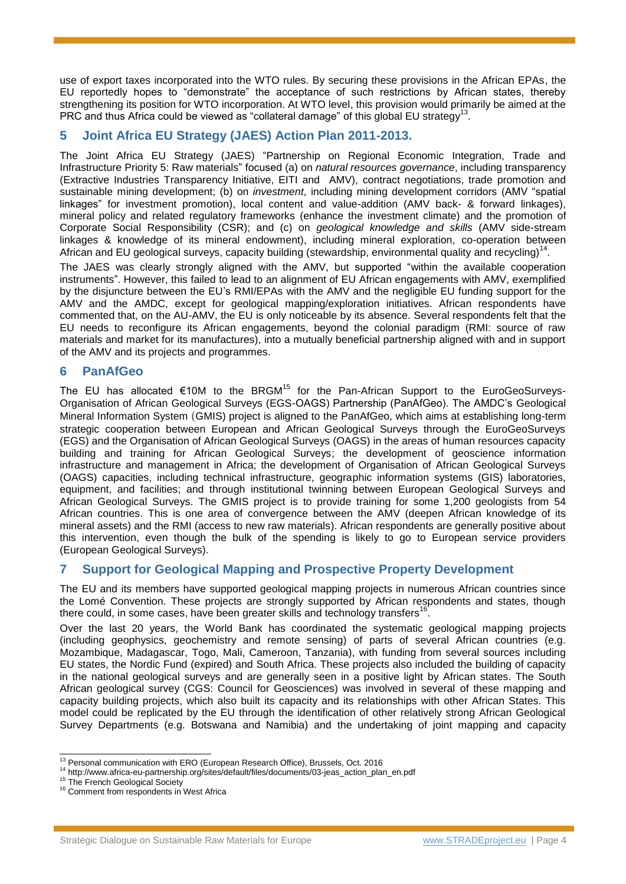use of export taxes incorporated into the WTO rules. By securing these provisions in the African EPAs, the EU reportedly hopes to "demonstrate" the acceptance of such restrictions by African states, thereby strengthening its position for WTO incorporation. At WTO level, this provision would primarily be aimed at the PRC and thus Africa could be viewed as "collateral damage" of this global EU strategy<sup>13</sup>.

## **5 Joint Africa EU Strategy (JAES) Action Plan 2011-2013.**

The Joint Africa EU Strategy (JAES) "Partnership on Regional Economic Integration, Trade and Infrastructure Priority 5: Raw materials" focused (a) on *natural resources governance*, including transparency (Extractive Industries Transparency Initiative, EITI and AMV), contract negotiations, trade promotion and sustainable mining development; (b) on *investment*, including mining development corridors (AMV "spatial linkages" for investment promotion), local content and value-addition (AMV back- & forward linkages), mineral policy and related regulatory frameworks (enhance the investment climate) and the promotion of Corporate Social Responsibility (CSR); and (c) on *geological knowledge and skills* (AMV side-stream linkages & knowledge of its mineral endowment), including mineral exploration, co-operation between African and EU geological surveys, capacity building (stewardship, environmental quality and recycling)<sup>14</sup>.

The JAES was clearly strongly aligned with the AMV, but supported "within the available cooperation instruments". However, this failed to lead to an alignment of EU African engagements with AMV, exemplified by the disjuncture between the EU's RMI/EPAs with the AMV and the negligible EU funding support for the AMV and the AMDC, except for geological mapping/exploration initiatives. African respondents have commented that, on the AU-AMV, the EU is only noticeable by its absence. Several respondents felt that the EU needs to reconfigure its African engagements, beyond the colonial paradigm (RMI: source of raw materials and market for its manufactures), into a mutually beneficial partnership aligned with and in support of the AMV and its projects and programmes.

## **6 PanAfGeo**

The EU has allocated  $\epsilon$ 10M to the BRGM<sup>15</sup> for the Pan-African Support to the EuroGeoSurveys-Organisation of African Geological Surveys (EGS-OAGS) Partnership (PanAfGeo). The AMDC's Geological Mineral Information System (GMIS) project is aligned to the PanAfGeo, which aims at establishing long-term strategic cooperation between European and African Geological Surveys through the EuroGeoSurveys (EGS) and the Organisation of African Geological Surveys (OAGS) in the areas of human resources capacity building and training for African Geological Surveys; the development of geoscience information infrastructure and management in Africa; the development of Organisation of African Geological Surveys (OAGS) capacities, including technical infrastructure, geographic information systems (GIS) laboratories, equipment, and facilities; and through institutional twinning between European Geological Surveys and African Geological Surveys. The GMIS project is to provide training for some 1,200 geologists from 54 African countries. This is one area of convergence between the AMV (deepen African knowledge of its mineral assets) and the RMI (access to new raw materials). African respondents are generally positive about this intervention, even though the bulk of the spending is likely to go to European service providers (European Geological Surveys).

## **7 Support for Geological Mapping and Prospective Property Development**

The EU and its members have supported geological mapping projects in numerous African countries since the Lomé Convention. These projects are strongly supported by African respondents and states, though there could, in some cases, have been greater skills and technology transfers<sup>16</sup> .

Over the last 20 years, the World Bank has coordinated the systematic geological mapping projects (including geophysics, geochemistry and remote sensing) of parts of several African countries (e.g. Mozambique, Madagascar, Togo, Mali, Cameroon, Tanzania), with funding from several sources including EU states, the Nordic Fund (expired) and South Africa. These projects also included the building of capacity in the national geological surveys and are generally seen in a positive light by African states. The South African geological survey (CGS: Council for Geosciences) was involved in several of these mapping and capacity building projects, which also built its capacity and its relationships with other African States. This model could be replicated by the EU through the identification of other relatively strong African Geological Survey Departments (e.g. Botswana and Namibia) and the undertaking of joint mapping and capacity

l <sup>13</sup> Personal communication with ERO (European Research Office), Brussels, Oct. 2016

<sup>14</sup> http://www.africa-eu-partnership.org/sites/default/files/documents/03-jeas\_action\_plan\_en.pdf

<sup>&</sup>lt;sup>15</sup> The French Geological Society

<sup>&</sup>lt;sup>16</sup> Comment from respondents in West Africa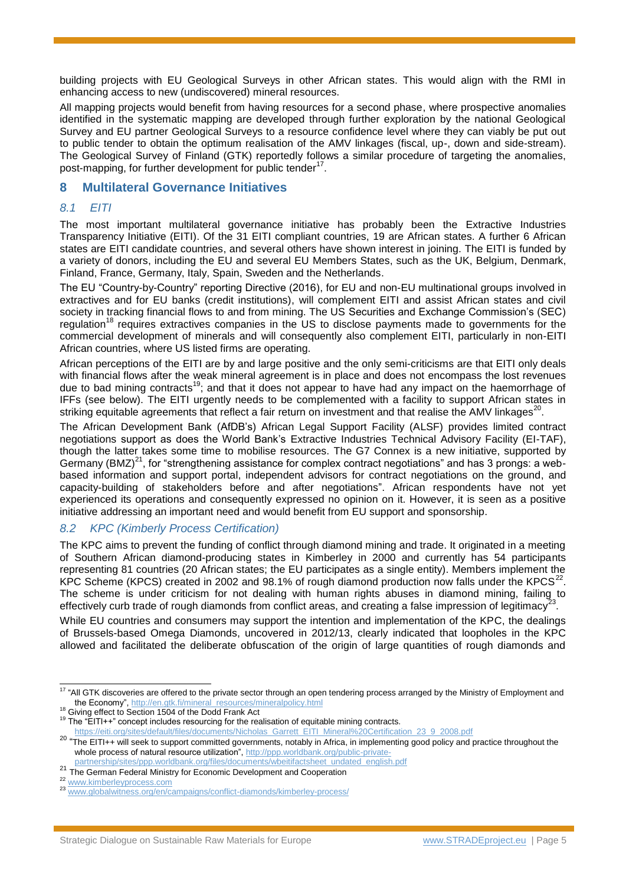building projects with EU Geological Surveys in other African states. This would align with the RMI in enhancing access to new (undiscovered) mineral resources.

All mapping projects would benefit from having resources for a second phase, where prospective anomalies identified in the systematic mapping are developed through further exploration by the national Geological Survey and EU partner Geological Surveys to a resource confidence level where they can viably be put out to public tender to obtain the optimum realisation of the AMV linkages (fiscal, up-, down and side-stream). The Geological Survey of Finland (GTK) reportedly follows a similar procedure of targeting the anomalies, post-mapping, for further development for public tender<sup>17</sup>.

#### **8 Multilateral Governance Initiatives**

#### *8.1 EITI*

The most important multilateral governance initiative has probably been the Extractive Industries Transparency Initiative (EITI). Of the 31 EITI compliant countries, 19 are African states. A further 6 African states are EITI candidate countries, and several others have shown interest in joining. The EITI is funded by a variety of donors, including the EU and several EU Members States, such as the UK, Belgium, Denmark, Finland, France, Germany, Italy, Spain, Sweden and the Netherlands.

The EU "Country-by-Country" reporting Directive (2016), for EU and non-EU multinational groups involved in extractives and for EU banks (credit institutions), will complement EITI and assist African states and civil society in tracking financial flows to and from mining. The US Securities and Exchange Commission's (SEC) regulation<sup>18</sup> requires extractives companies in the US to disclose payments made to governments for the commercial development of minerals and will consequently also complement EITI, particularly in non-EITI African countries, where US listed firms are operating.

African perceptions of the EITI are by and large positive and the only semi-criticisms are that EITI only deals with financial flows after the weak mineral agreement is in place and does not encompass the lost revenues due to bad mining contracts<sup>19</sup>; and that it does not appear to have had any impact on the haemorrhage of IFFs (see below). The EITI urgently needs to be complemented with a facility to support African states in striking equitable agreements that reflect a fair return on investment and that realise the AMV linkages<sup>20</sup>.

The African Development Bank (AfDB's) African Legal Support Facility (ALSF) provides limited contract negotiations support as does the World Bank's Extractive Industries Technical Advisory Facility (EI-TAF), though the latter takes some time to mobilise resources. The G7 Connex is a new initiative, supported by Germany (BMZ)<sup>21</sup>, for "strengthening assistance for complex contract negotiations" and has 3 prongs: a webbased information and support portal, independent advisors for contract negotiations on the ground, and capacity-building of stakeholders before and after negotiations". African respondents have not yet experienced its operations and consequently expressed no opinion on it. However, it is seen as a positive initiative addressing an important need and would benefit from EU support and sponsorship.

#### *8.2 KPC (Kimberly Process Certification)*

The KPC aims to prevent the funding of conflict through diamond mining and trade. It originated in a meeting of Southern African diamond-producing states in Kimberley in 2000 and currently has 54 participants representing 81 countries (20 African states; the EU participates as a single entity). Members implement the KPC Scheme (KPCS) created in 2002 and 98.1% of rough diamond production now falls under the KPCS<sup>22</sup>. The scheme is under criticism for not dealing with human rights abuses in diamond mining, failing to effectively curb trade of rough diamonds from conflict areas, and creating a false impression of legitimacy .

While EU countries and consumers may support the intention and implementation of the KPC, the dealings of Brussels-based Omega Diamonds, uncovered in 2012/13, clearly indicated that loopholes in the KPC allowed and facilitated the deliberate obfuscation of the origin of large quantities of rough diamonds and

<sup>&</sup>lt;sup>17</sup> "All GTK discoveries are offered to the private sector through an open tendering process arranged by the Ministry of Employment and the Economy", [http://en.gtk.fi/mineral\\_resources/mineralpolicy.html](http://en.gtk.fi/mineral_resources/mineralpolicy.html)

<sup>&</sup>lt;sup>18</sup> Giving effect to Section 1504 of the Dodd Frank Act

<sup>&</sup>lt;sup>19</sup> The "EITI++" concept includes resourcing for the realisation of equitable mining contracts.

[https://eiti.org/sites/default/files/documents/Nicholas\\_Garrett\\_EITI\\_Mineral%20Certification\\_23\\_9\\_2008.pdf](https://eiti.org/sites/default/files/documents/Nicholas_Garrett_EITI_Mineral%20Certification_23_9_2008.pdf)

<sup>&</sup>lt;sup>20</sup> "The EITI++ will seek to support committed governments, notably in Africa, in implementing good policy and practice throughout the whole process of natural resource utilization", [http://ppp.worldbank.org/public-private](http://ppp.worldbank.org/public-private-partnership/sites/ppp.worldbank.org/files/documents/wbeitifactsheet_undated_english.pdf)[partnership/sites/ppp.worldbank.org/files/documents/wbeitifactsheet\\_undated\\_english.pdf](http://ppp.worldbank.org/public-private-partnership/sites/ppp.worldbank.org/files/documents/wbeitifactsheet_undated_english.pdf)

<sup>&</sup>lt;sup>21</sup> The German Federal Ministry for Economic Development and Cooperation

<sup>22</sup> [www.kimberleyprocess.com](http://www.kimberleyprocess.com/)

<sup>23</sup> [www.globalwitness.org/en/campaigns/conflict-diamonds/kimberley-process/](http://www.globalwitness.org/en/campaigns/conflict-diamonds/kimberley-process/)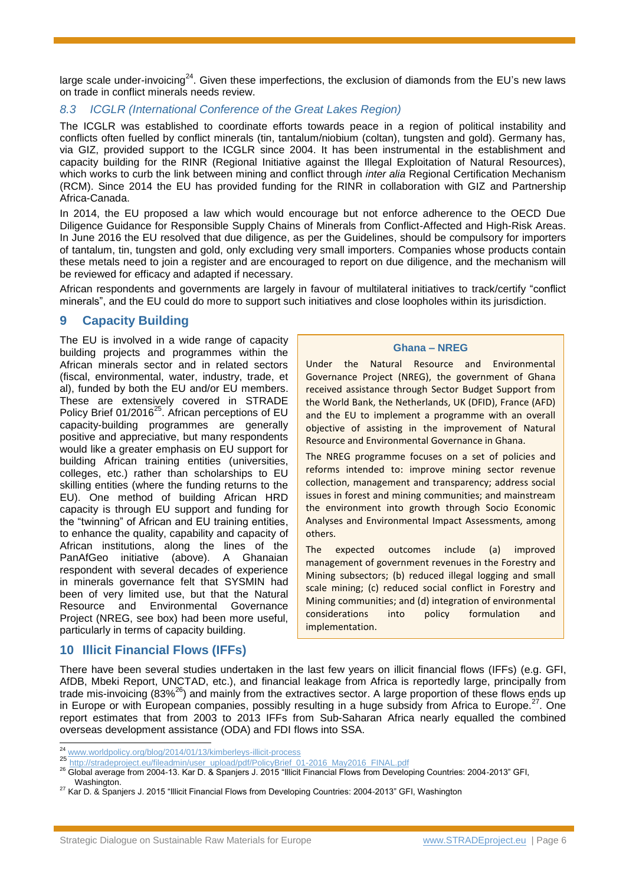large scale under-invoicing<sup>24</sup>. Given these imperfections, the exclusion of diamonds from the EU's new laws on trade in conflict minerals needs review.

### *8.3 ICGLR (International Conference of the Great Lakes Region)*

The ICGLR was established to coordinate efforts towards peace in a region of political instability and conflicts often fuelled by conflict minerals (tin, tantalum/niobium (coltan), tungsten and gold). Germany has, via GIZ, provided support to the ICGLR since 2004. It has been instrumental in the establishment and capacity building for the RINR (Regional Initiative against the Illegal Exploitation of Natural Resources), which works to curb the link between mining and conflict through *inter alia* Regional Certification Mechanism (RCM). Since 2014 the EU has provided funding for the RINR in collaboration with GIZ and Partnership Africa-Canada.

In 2014, the EU proposed a law which would encourage but not enforce adherence to the OECD Due Diligence Guidance for Responsible Supply Chains of Minerals from Conflict-Affected and High-Risk Areas. In June 2016 the EU resolved that due diligence, as per the Guidelines, should be compulsory for importers of tantalum, tin, tungsten and gold, only excluding very small importers. Companies whose products contain these metals need to join a register and are encouraged to report on due diligence, and the mechanism will be reviewed for efficacy and adapted if necessary.

African respondents and governments are largely in favour of multilateral initiatives to track/certify "conflict minerals", and the EU could do more to support such initiatives and close loopholes within its jurisdiction.

## **9 Capacity Building**

The EU is involved in a wide range of capacity building projects and programmes within the African minerals sector and in related sectors (fiscal, environmental, water, industry, trade, et al), funded by both the EU and/or EU members. These are extensively covered in STRADE Policy Brief 01/2016<sup>25</sup>. African perceptions of EU capacity-building programmes are generally positive and appreciative, but many respondents would like a greater emphasis on EU support for building African training entities (universities, colleges, etc.) rather than scholarships to EU skilling entities (where the funding returns to the EU). One method of building African HRD capacity is through EU support and funding for the "twinning" of African and EU training entities, to enhance the quality, capability and capacity of African institutions, along the lines of the PanAfGeo initiative (above). A Ghanaian respondent with several decades of experience in minerals governance felt that SYSMIN had been of very limited use, but that the Natural Resource and Environmental Governance Project (NREG, see box) had been more useful, particularly in terms of capacity building.

#### **Ghana – NREG**

Under the Natural Resource and Environmental Governance Project (NREG), the government of Ghana received assistance through Sector Budget Support from the World Bank, the Netherlands, UK (DFID), France (AFD) and the EU to implement a programme with an overall objective of assisting in the improvement of Natural Resource and Environmental Governance in Ghana.

The NREG programme focuses on a set of policies and reforms intended to: improve mining sector revenue collection, management and transparency; address social issues in forest and mining communities; and mainstream the environment into growth through Socio Economic Analyses and Environmental Impact Assessments, among others.

The expected outcomes include (a) improved management of government revenues in the Forestry and Mining subsectors; (b) reduced illegal logging and small scale mining; (c) reduced social conflict in Forestry and Mining communities; and (d) integration of environmental considerations into policy formulation and implementation.

## **10 Illicit Financial Flows (IFFs)**

l

There have been several studies undertaken in the last few years on illicit financial flows (IFFs) (e.g. GFI, AfDB, Mbeki Report, UNCTAD, etc.), and financial leakage from Africa is reportedly large, principally from trade mis-invoicing (83%<sup>26</sup>) and mainly from the extractives sector. A large proportion of these flows ends up in Europe or with European companies, possibly resulting in a huge subsidy from Africa to Europe.<sup>27</sup>. One report estimates that from 2003 to 2013 IFFs from Sub-Saharan Africa nearly equalled the combined overseas development assistance (ODA) and FDI flows into SSA.

<sup>&</sup>lt;sup>24</sup> [www.worldpolicy.org/blog/2014/01/13/kimberleys-illicit-process](http://www.worldpolicy.org/blog/2014/01/13/kimberleys-illicit-process)

<sup>25</sup> [http://stradeproject.eu/fileadmin/user\\_upload/pdf/PolicyBrief\\_01-2016\\_May2016\\_FINAL.pdf](http://stradeproject.eu/fileadmin/user_upload/pdf/PolicyBrief_01-2016_May2016_FINAL.pdf)

<sup>&</sup>lt;sup>26</sup> Global average from 2004-13. Kar D. & Spanjers J. 2015 "Illicit Financial Flows from Developing Countries: 2004-2013" GFI, Washington

<sup>27</sup> Kar D. & Spanjers J. 2015 "Illicit Financial Flows from Developing Countries: 2004-2013" GFI, Washington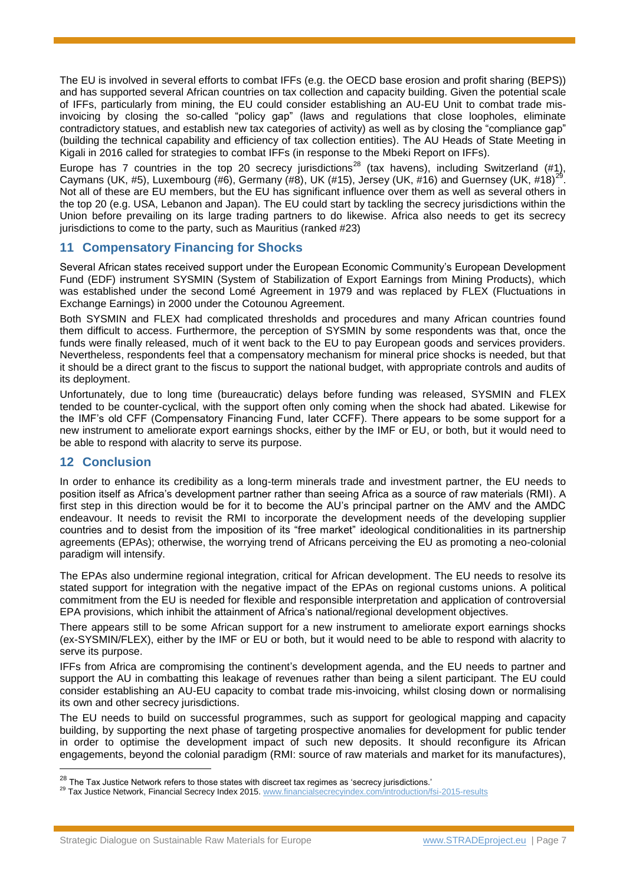The EU is involved in several efforts to combat IFFs (e.g. the OECD base erosion and profit sharing (BEPS)) and has supported several African countries on tax collection and capacity building. Given the potential scale of IFFs, particularly from mining, the EU could consider establishing an AU-EU Unit to combat trade misinvoicing by closing the so-called "policy gap" (laws and regulations that close loopholes, eliminate contradictory statues, and establish new tax categories of activity) as well as by closing the "compliance gap" (building the technical capability and efficiency of tax collection entities). The AU Heads of State Meeting in Kigali in 2016 called for strategies to combat IFFs (in response to the Mbeki Report on IFFs).

Europe has 7 countries in the top 20 secrecy jurisdictions<sup>28</sup> (tax havens), including Switzerland (#1), Caymans (UK, #5), Luxembourg (#6), Germany (#8), UK (#15), Jersey (UK, #16) and Guernsey (UK, #18)<sup>29</sup>. Not all of these are EU members, but the EU has significant influence over them as well as several others in the top 20 (e.g. USA, Lebanon and Japan). The EU could start by tackling the secrecy jurisdictions within the Union before prevailing on its large trading partners to do likewise. Africa also needs to get its secrecy jurisdictions to come to the party, such as Mauritius (ranked #23)

## **11 Compensatory Financing for Shocks**

Several African states received support under the European Economic Community's European Development Fund (EDF) instrument SYSMIN (System of Stabilization of Export Earnings from Mining Products), which was established under the second Lomé Agreement in 1979 and was replaced by FLEX (Fluctuations in Exchange Earnings) in 2000 under the Cotounou Agreement.

Both SYSMIN and FLEX had complicated thresholds and procedures and many African countries found them difficult to access. Furthermore, the perception of SYSMIN by some respondents was that, once the funds were finally released, much of it went back to the EU to pay European goods and services providers. Nevertheless, respondents feel that a compensatory mechanism for mineral price shocks is needed, but that it should be a direct grant to the fiscus to support the national budget, with appropriate controls and audits of its deployment.

Unfortunately, due to long time (bureaucratic) delays before funding was released, SYSMIN and FLEX tended to be counter-cyclical, with the support often only coming when the shock had abated. Likewise for the IMF's old CFF (Compensatory Financing Fund, later CCFF). There appears to be some support for a new instrument to ameliorate export earnings shocks, either by the IMF or EU, or both, but it would need to be able to respond with alacrity to serve its purpose.

## **12 Conclusion**

l

In order to enhance its credibility as a long-term minerals trade and investment partner, the EU needs to position itself as Africa's development partner rather than seeing Africa as a source of raw materials (RMI). A first step in this direction would be for it to become the AU's principal partner on the AMV and the AMDC endeavour. It needs to revisit the RMI to incorporate the development needs of the developing supplier countries and to desist from the imposition of its "free market" ideological conditionalities in its partnership agreements (EPAs); otherwise, the worrying trend of Africans perceiving the EU as promoting a neo-colonial paradigm will intensify.

The EPAs also undermine regional integration, critical for African development. The EU needs to resolve its stated support for integration with the negative impact of the EPAs on regional customs unions. A political commitment from the EU is needed for flexible and responsible interpretation and application of controversial EPA provisions, which inhibit the attainment of Africa's national/regional development objectives.

There appears still to be some African support for a new instrument to ameliorate export earnings shocks (ex-SYSMIN/FLEX), either by the IMF or EU or both, but it would need to be able to respond with alacrity to serve its purpose.

IFFs from Africa are compromising the continent's development agenda, and the EU needs to partner and support the AU in combatting this leakage of revenues rather than being a silent participant. The EU could consider establishing an AU-EU capacity to combat trade mis-invoicing, whilst closing down or normalising its own and other secrecy jurisdictions.

The EU needs to build on successful programmes, such as support for geological mapping and capacity building, by supporting the next phase of targeting prospective anomalies for development for public tender in order to optimise the development impact of such new deposits. It should reconfigure its African engagements, beyond the colonial paradigm (RMI: source of raw materials and market for its manufactures),

<sup>&</sup>lt;sup>28</sup> The Tax Justice Network refers to those states with discreet tax regimes as 'secrecy jurisdictions.'

<sup>&</sup>lt;sup>29</sup> Tax Justice Network, Financial Secrecy Index 2015[. www.financialsecrecyindex.com/introduction/fsi-2015-results](http://www.financialsecrecyindex.com/introduction/fsi-2015-results)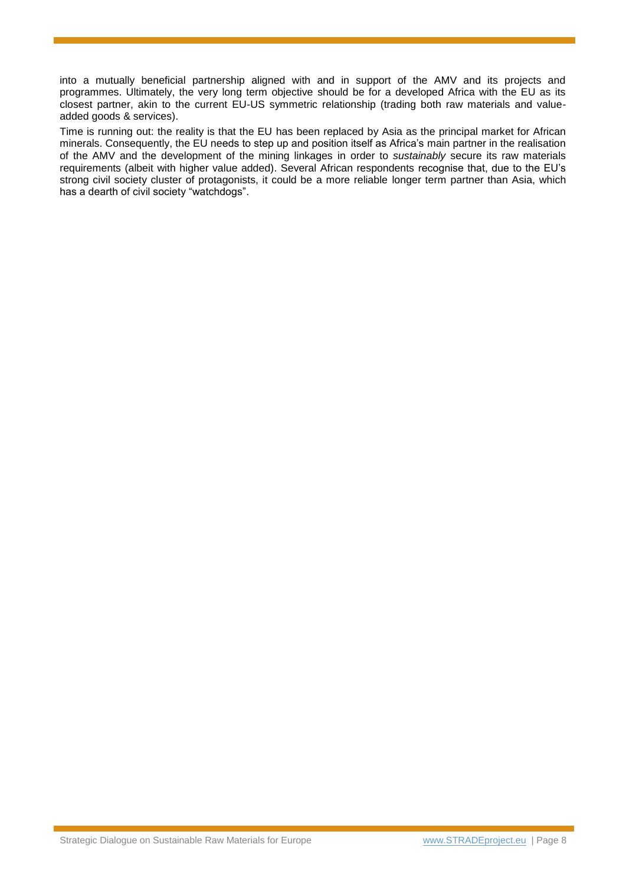into a mutually beneficial partnership aligned with and in support of the AMV and its projects and programmes. Ultimately, the very long term objective should be for a developed Africa with the EU as its closest partner, akin to the current EU-US symmetric relationship (trading both raw materials and valueadded goods & services).

Time is running out: the reality is that the EU has been replaced by Asia as the principal market for African minerals. Consequently, the EU needs to step up and position itself as Africa's main partner in the realisation of the AMV and the development of the mining linkages in order to *sustainably* secure its raw materials requirements (albeit with higher value added). Several African respondents recognise that, due to the EU's strong civil society cluster of protagonists, it could be a more reliable longer term partner than Asia, which has a dearth of civil society "watchdogs".